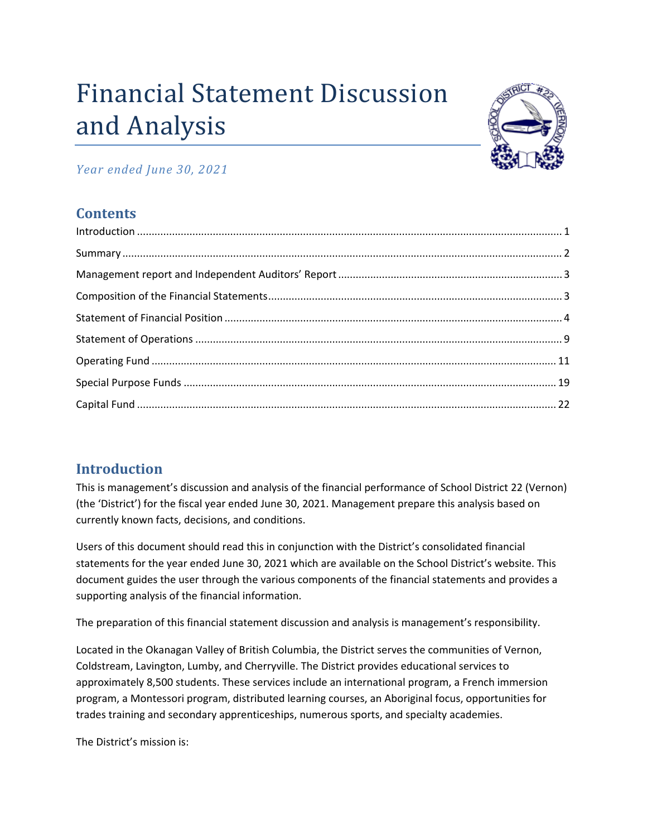# Financial Statement Discussion and Analysis



## *Year ended June 30, 2021*

# **Contents**

# <span id="page-0-0"></span>**Introduction**

This is management's discussion and analysis of the financial performance of School District 22 (Vernon) (the 'District') for the fiscal year ended June 30, 2021. Management prepare this analysis based on currently known facts, decisions, and conditions.

Users of this document should read this in conjunction with the District's consolidated financial statements for the year ended June 30, 2021 which are available on the School District's website. This document guides the user through the various components of the financial statements and provides a supporting analysis of the financial information.

The preparation of this financial statement discussion and analysis is management's responsibility.

Located in the Okanagan Valley of British Columbia, the District serves the communities of Vernon, Coldstream, Lavington, Lumby, and Cherryville. The District provides educational services to approximately 8,500 students. These services include an international program, a French immersion program, a Montessori program, distributed learning courses, an Aboriginal focus, opportunities for trades training and secondary apprenticeships, numerous sports, and specialty academies.

The District's mission is: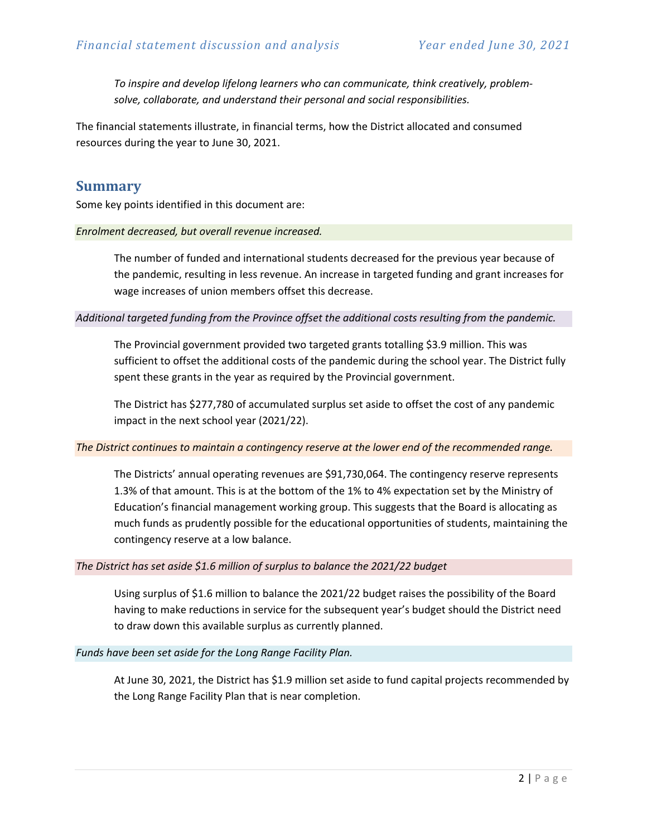*To inspire and develop lifelong learners who can communicate, think creatively, problemsolve, collaborate, and understand their personal and social responsibilities.*

The financial statements illustrate, in financial terms, how the District allocated and consumed resources during the year to June 30, 2021.

#### <span id="page-1-0"></span>**Summary**

Some key points identified in this document are:

#### *Enrolment decreased, but overall revenue increased.*

The number of funded and international students decreased for the previous year because of the pandemic, resulting in less revenue. An increase in targeted funding and grant increases for wage increases of union members offset this decrease.

*Additional targeted funding from the Province offset the additional costs resulting from the pandemic.*

The Provincial government provided two targeted grants totalling \$3.9 million. This was sufficient to offset the additional costs of the pandemic during the school year. The District fully spent these grants in the year as required by the Provincial government.

The District has \$277,780 of accumulated surplus set aside to offset the cost of any pandemic impact in the next school year (2021/22).

#### *The District continues to maintain a contingency reserve at the lower end of the recommended range.*

The Districts' annual operating revenues are \$91,730,064. The contingency reserve represents 1.3% of that amount. This is at the bottom of the 1% to 4% expectation set by the Ministry of Education's financial management working group. This suggests that the Board is allocating as much funds as prudently possible for the educational opportunities of students, maintaining the contingency reserve at a low balance.

#### *The District has set aside \$1.6 million of surplus to balance the 2021/22 budget*

Using surplus of \$1.6 million to balance the 2021/22 budget raises the possibility of the Board having to make reductions in service for the subsequent year's budget should the District need to draw down this available surplus as currently planned.

#### *Funds have been set aside for the Long Range Facility Plan.*

At June 30, 2021, the District has \$1.9 million set aside to fund capital projects recommended by the Long Range Facility Plan that is near completion.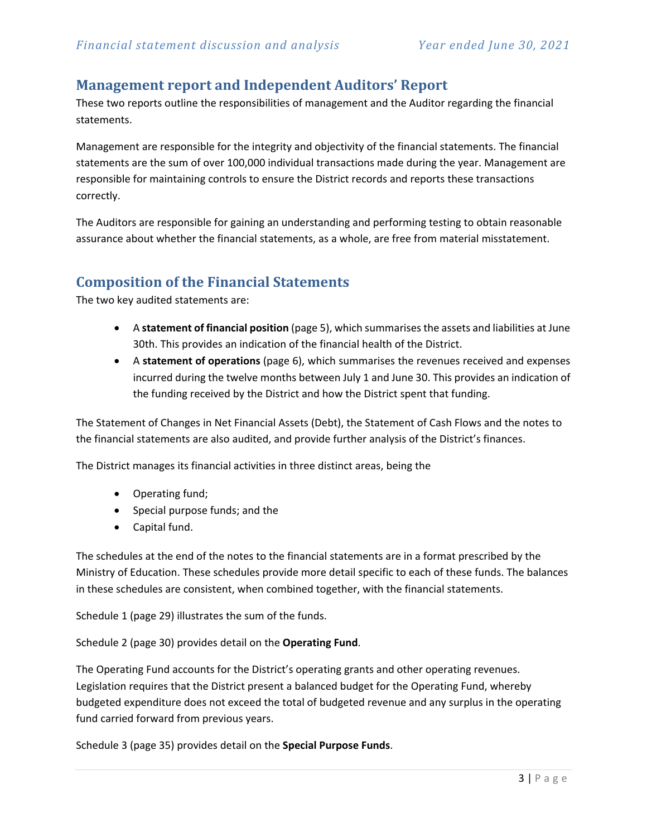## <span id="page-2-0"></span>**Management report and Independent Auditors' Report**

These two reports outline the responsibilities of management and the Auditor regarding the financial statements.

Management are responsible for the integrity and objectivity of the financial statements. The financial statements are the sum of over 100,000 individual transactions made during the year. Management are responsible for maintaining controls to ensure the District records and reports these transactions correctly.

The Auditors are responsible for gaining an understanding and performing testing to obtain reasonable assurance about whether the financial statements, as a whole, are free from material misstatement.

## <span id="page-2-1"></span>**Composition of the Financial Statements**

The two key audited statements are:

- A **statement of financial position** (page 5), which summarises the assets and liabilities at June 30th. This provides an indication of the financial health of the District.
- A **statement of operations** (page 6), which summarises the revenues received and expenses incurred during the twelve months between July 1 and June 30. This provides an indication of the funding received by the District and how the District spent that funding.

The Statement of Changes in Net Financial Assets (Debt), the Statement of Cash Flows and the notes to the financial statements are also audited, and provide further analysis of the District's finances.

The District manages its financial activities in three distinct areas, being the

- Operating fund;
- Special purpose funds; and the
- Capital fund.

The schedules at the end of the notes to the financial statements are in a format prescribed by the Ministry of Education. These schedules provide more detail specific to each of these funds. The balances in these schedules are consistent, when combined together, with the financial statements.

Schedule 1 (page 29) illustrates the sum of the funds.

Schedule 2 (page 30) provides detail on the **Operating Fund**.

The Operating Fund accounts for the District's operating grants and other operating revenues. Legislation requires that the District present a balanced budget for the Operating Fund, whereby budgeted expenditure does not exceed the total of budgeted revenue and any surplus in the operating fund carried forward from previous years.

Schedule 3 (page 35) provides detail on the **Special Purpose Funds**.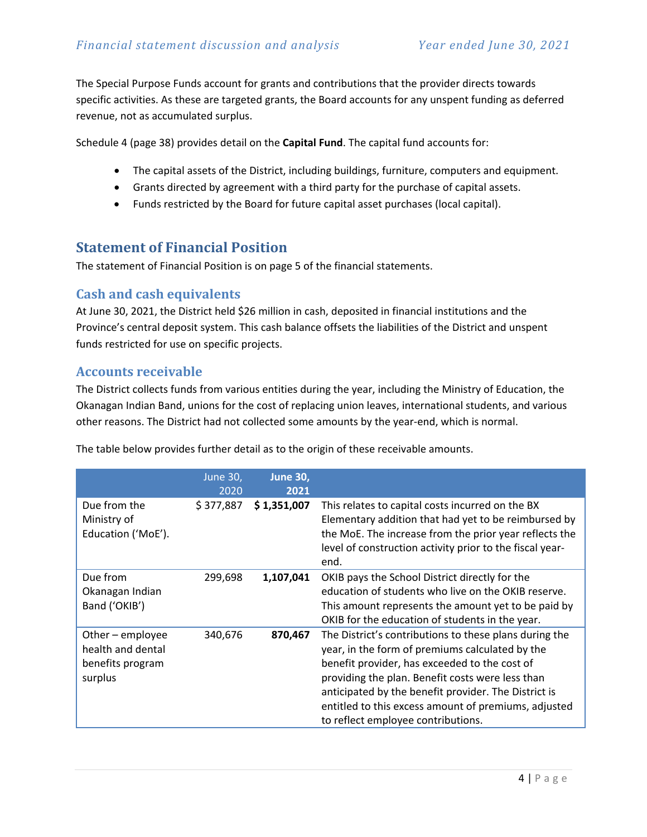The Special Purpose Funds account for grants and contributions that the provider directs towards specific activities. As these are targeted grants, the Board accounts for any unspent funding as deferred revenue, not as accumulated surplus.

Schedule 4 (page 38) provides detail on the **Capital Fund**. The capital fund accounts for:

- The capital assets of the District, including buildings, furniture, computers and equipment.
- Grants directed by agreement with a third party for the purchase of capital assets.
- Funds restricted by the Board for future capital asset purchases (local capital).

## <span id="page-3-0"></span>**Statement of Financial Position**

The statement of Financial Position is on page 5 of the financial statements.

## **Cash and cash equivalents**

At June 30, 2021, the District held \$26 million in cash, deposited in financial institutions and the Province's central deposit system. This cash balance offsets the liabilities of the District and unspent funds restricted for use on specific projects.

## **Accounts receivable**

The District collects funds from various entities during the year, including the Ministry of Education, the Okanagan Indian Band, unions for the cost of replacing union leaves, international students, and various other reasons. The District had not collected some amounts by the year-end, which is normal.

|                                                                      | June 30,<br>2020 | <b>June 30,</b><br>2021 |                                                                                                                                                                                                                                                                                                                                                                      |
|----------------------------------------------------------------------|------------------|-------------------------|----------------------------------------------------------------------------------------------------------------------------------------------------------------------------------------------------------------------------------------------------------------------------------------------------------------------------------------------------------------------|
| Due from the<br>Ministry of<br>Education ('MoE').                    | \$377,887        | \$1,351,007             | This relates to capital costs incurred on the BX<br>Elementary addition that had yet to be reimbursed by<br>the MoE. The increase from the prior year reflects the<br>level of construction activity prior to the fiscal year-<br>end.                                                                                                                               |
| Due from<br>Okanagan Indian<br>Band ('OKIB')                         | 299,698          | 1,107,041               | OKIB pays the School District directly for the<br>education of students who live on the OKIB reserve.<br>This amount represents the amount yet to be paid by<br>OKIB for the education of students in the year.                                                                                                                                                      |
| Other - employee<br>health and dental<br>benefits program<br>surplus | 340,676          | 870,467                 | The District's contributions to these plans during the<br>year, in the form of premiums calculated by the<br>benefit provider, has exceeded to the cost of<br>providing the plan. Benefit costs were less than<br>anticipated by the benefit provider. The District is<br>entitled to this excess amount of premiums, adjusted<br>to reflect employee contributions. |

The table below provides further detail as to the origin of these receivable amounts.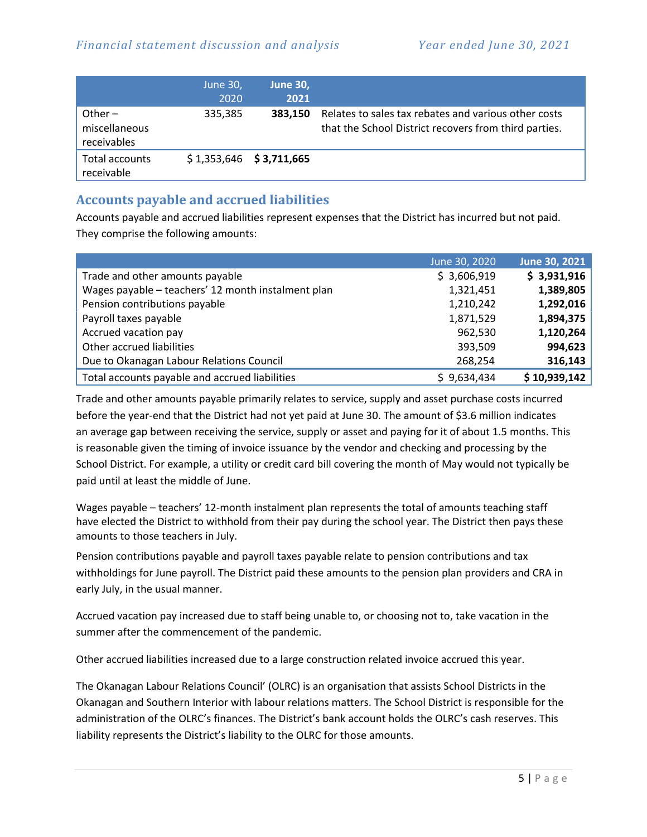|                                           | June 30,<br>2020 | June 30,<br>2021          |                                                                                                               |
|-------------------------------------------|------------------|---------------------------|---------------------------------------------------------------------------------------------------------------|
| Other $-$<br>miscellaneous<br>receivables | 335,385          | 383.150                   | Relates to sales tax rebates and various other costs<br>that the School District recovers from third parties. |
| Total accounts<br>receivable              |                  | $$1,353,646$ $$3,711,665$ |                                                                                                               |

## **Accounts payable and accrued liabilities**

Accounts payable and accrued liabilities represent expenses that the District has incurred but not paid. They comprise the following amounts:

|                                                    | June 30, 2020 | June 30, 2021 |
|----------------------------------------------------|---------------|---------------|
| Trade and other amounts payable                    | \$3,606,919   | \$3,931,916   |
| Wages payable - teachers' 12 month instalment plan | 1,321,451     | 1,389,805     |
| Pension contributions payable                      | 1,210,242     | 1,292,016     |
| Payroll taxes payable                              | 1,871,529     | 1,894,375     |
| Accrued vacation pay                               | 962,530       | 1,120,264     |
| Other accrued liabilities                          | 393,509       | 994,623       |
| Due to Okanagan Labour Relations Council           | 268,254       | 316,143       |
| Total accounts payable and accrued liabilities     | \$9,634,434   | \$10,939,142  |

Trade and other amounts payable primarily relates to service, supply and asset purchase costs incurred before the year-end that the District had not yet paid at June 30. The amount of \$3.6 million indicates an average gap between receiving the service, supply or asset and paying for it of about 1.5 months. This is reasonable given the timing of invoice issuance by the vendor and checking and processing by the School District. For example, a utility or credit card bill covering the month of May would not typically be paid until at least the middle of June.

Wages payable – teachers' 12-month instalment plan represents the total of amounts teaching staff have elected the District to withhold from their pay during the school year. The District then pays these amounts to those teachers in July.

Pension contributions payable and payroll taxes payable relate to pension contributions and tax withholdings for June payroll. The District paid these amounts to the pension plan providers and CRA in early July, in the usual manner.

Accrued vacation pay increased due to staff being unable to, or choosing not to, take vacation in the summer after the commencement of the pandemic.

Other accrued liabilities increased due to a large construction related invoice accrued this year.

The Okanagan Labour Relations Council' (OLRC) is an organisation that assists School Districts in the Okanagan and Southern Interior with labour relations matters. The School District is responsible for the administration of the OLRC's finances. The District's bank account holds the OLRC's cash reserves. This liability represents the District's liability to the OLRC for those amounts.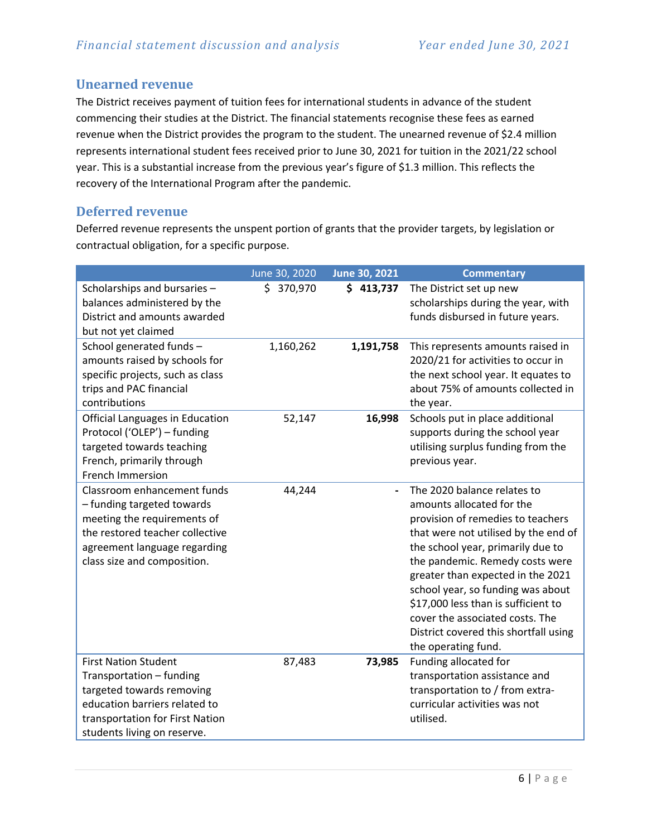## **Unearned revenue**

The District receives payment of tuition fees for international students in advance of the student commencing their studies at the District. The financial statements recognise these fees as earned revenue when the District provides the program to the student. The unearned revenue of \$2.4 million represents international student fees received prior to June 30, 2021 for tuition in the 2021/22 school year. This is a substantial increase from the previous year's figure of \$1.3 million. This reflects the recovery of the International Program after the pandemic.

## **Deferred revenue**

Deferred revenue represents the unspent portion of grants that the provider targets, by legislation or contractual obligation, for a specific purpose.

|                                                                                                                                                                                            | June 30, 2020 | June 30, 2021 | <b>Commentary</b>                                                                                                                                                                                                                                                                                                                                                                                                                 |
|--------------------------------------------------------------------------------------------------------------------------------------------------------------------------------------------|---------------|---------------|-----------------------------------------------------------------------------------------------------------------------------------------------------------------------------------------------------------------------------------------------------------------------------------------------------------------------------------------------------------------------------------------------------------------------------------|
| Scholarships and bursaries -<br>balances administered by the<br>District and amounts awarded<br>but not yet claimed                                                                        | \$ 370,970    | \$413,737     | The District set up new<br>scholarships during the year, with<br>funds disbursed in future years.                                                                                                                                                                                                                                                                                                                                 |
| School generated funds -<br>amounts raised by schools for<br>specific projects, such as class<br>trips and PAC financial<br>contributions                                                  | 1,160,262     | 1,191,758     | This represents amounts raised in<br>2020/21 for activities to occur in<br>the next school year. It equates to<br>about 75% of amounts collected in<br>the year.                                                                                                                                                                                                                                                                  |
| <b>Official Languages in Education</b><br>Protocol ('OLEP') - funding<br>targeted towards teaching<br>French, primarily through<br>French Immersion                                        | 52,147        | 16,998        | Schools put in place additional<br>supports during the school year<br>utilising surplus funding from the<br>previous year.                                                                                                                                                                                                                                                                                                        |
| Classroom enhancement funds<br>- funding targeted towards<br>meeting the requirements of<br>the restored teacher collective<br>agreement language regarding<br>class size and composition. | 44,244        |               | The 2020 balance relates to<br>amounts allocated for the<br>provision of remedies to teachers<br>that were not utilised by the end of<br>the school year, primarily due to<br>the pandemic. Remedy costs were<br>greater than expected in the 2021<br>school year, so funding was about<br>\$17,000 less than is sufficient to<br>cover the associated costs. The<br>District covered this shortfall using<br>the operating fund. |
| <b>First Nation Student</b><br>Transportation - funding<br>targeted towards removing<br>education barriers related to<br>transportation for First Nation<br>students living on reserve.    | 87,483        | 73,985        | Funding allocated for<br>transportation assistance and<br>transportation to / from extra-<br>curricular activities was not<br>utilised.                                                                                                                                                                                                                                                                                           |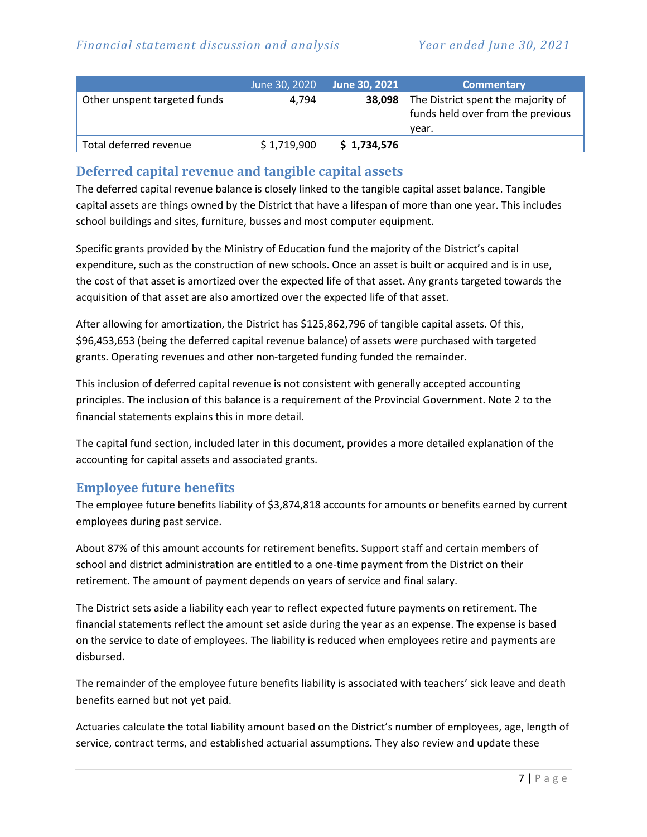|                              | June 30, 2020 | June 30, 2021 | <b>Commentary</b>                                                                |
|------------------------------|---------------|---------------|----------------------------------------------------------------------------------|
| Other unspent targeted funds | 4.794         | 38.098        | The District spent the majority of<br>funds held over from the previous<br>vear. |
| Total deferred revenue       | \$1,719,900   | \$1,734,576   |                                                                                  |

## **Deferred capital revenue and tangible capital assets**

The deferred capital revenue balance is closely linked to the tangible capital asset balance. Tangible capital assets are things owned by the District that have a lifespan of more than one year. This includes school buildings and sites, furniture, busses and most computer equipment.

Specific grants provided by the Ministry of Education fund the majority of the District's capital expenditure, such as the construction of new schools. Once an asset is built or acquired and is in use, the cost of that asset is amortized over the expected life of that asset. Any grants targeted towards the acquisition of that asset are also amortized over the expected life of that asset.

After allowing for amortization, the District has \$125,862,796 of tangible capital assets. Of this, \$96,453,653 (being the deferred capital revenue balance) of assets were purchased with targeted grants. Operating revenues and other non-targeted funding funded the remainder.

This inclusion of deferred capital revenue is not consistent with generally accepted accounting principles. The inclusion of this balance is a requirement of the Provincial Government. Note 2 to the financial statements explains this in more detail.

The capital fund section, included later in this document, provides a more detailed explanation of the accounting for capital assets and associated grants.

## **Employee future benefits**

The employee future benefits liability of \$3,874,818 accounts for amounts or benefits earned by current employees during past service.

About 87% of this amount accounts for retirement benefits. Support staff and certain members of school and district administration are entitled to a one-time payment from the District on their retirement. The amount of payment depends on years of service and final salary.

The District sets aside a liability each year to reflect expected future payments on retirement. The financial statements reflect the amount set aside during the year as an expense. The expense is based on the service to date of employees. The liability is reduced when employees retire and payments are disbursed.

The remainder of the employee future benefits liability is associated with teachers' sick leave and death benefits earned but not yet paid.

Actuaries calculate the total liability amount based on the District's number of employees, age, length of service, contract terms, and established actuarial assumptions. They also review and update these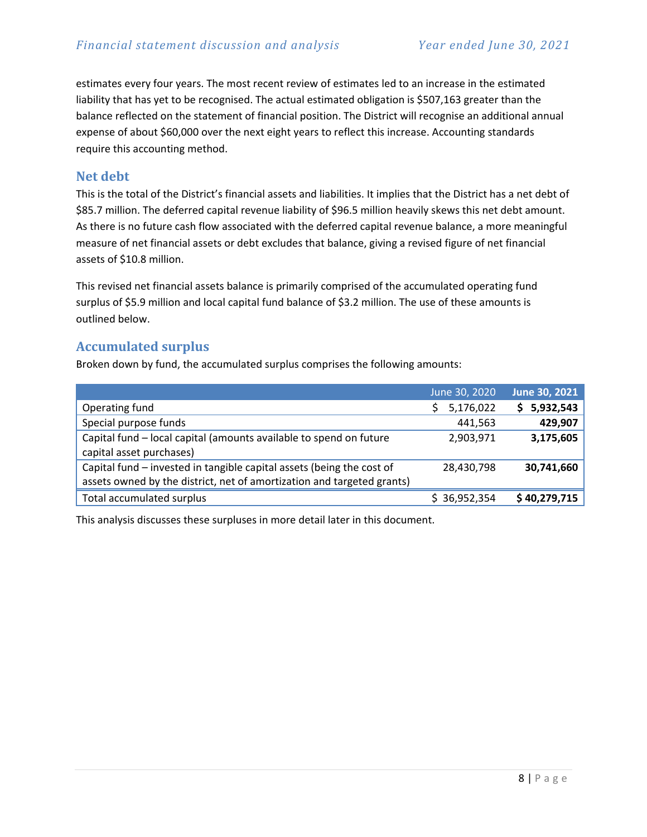estimates every four years. The most recent review of estimates led to an increase in the estimated liability that has yet to be recognised. The actual estimated obligation is \$507,163 greater than the balance reflected on the statement of financial position. The District will recognise an additional annual expense of about \$60,000 over the next eight years to reflect this increase. Accounting standards require this accounting method.

#### **Net debt**

This is the total of the District's financial assets and liabilities. It implies that the District has a net debt of \$85.7 million. The deferred capital revenue liability of \$96.5 million heavily skews this net debt amount. As there is no future cash flow associated with the deferred capital revenue balance, a more meaningful measure of net financial assets or debt excludes that balance, giving a revised figure of net financial assets of \$10.8 million.

This revised net financial assets balance is primarily comprised of the accumulated operating fund surplus of \$5.9 million and local capital fund balance of \$3.2 million. The use of these amounts is outlined below.

### **Accumulated surplus**

Broken down by fund, the accumulated surplus comprises the following amounts:

|                                                                        | June 30, 2020 | <b>June 30, 2021</b> |
|------------------------------------------------------------------------|---------------|----------------------|
| Operating fund                                                         | 5,176,022     | 5,932,543<br>S.      |
| Special purpose funds                                                  | 441,563       | 429,907              |
| Capital fund - local capital (amounts available to spend on future     | 2,903,971     | 3,175,605            |
| capital asset purchases)                                               |               |                      |
| Capital fund - invested in tangible capital assets (being the cost of  | 28,430,798    | 30,741,660           |
| assets owned by the district, net of amortization and targeted grants) |               |                      |
| Total accumulated surplus                                              | \$36,952,354  | \$40,279,715         |

This analysis discusses these surpluses in more detail later in this document.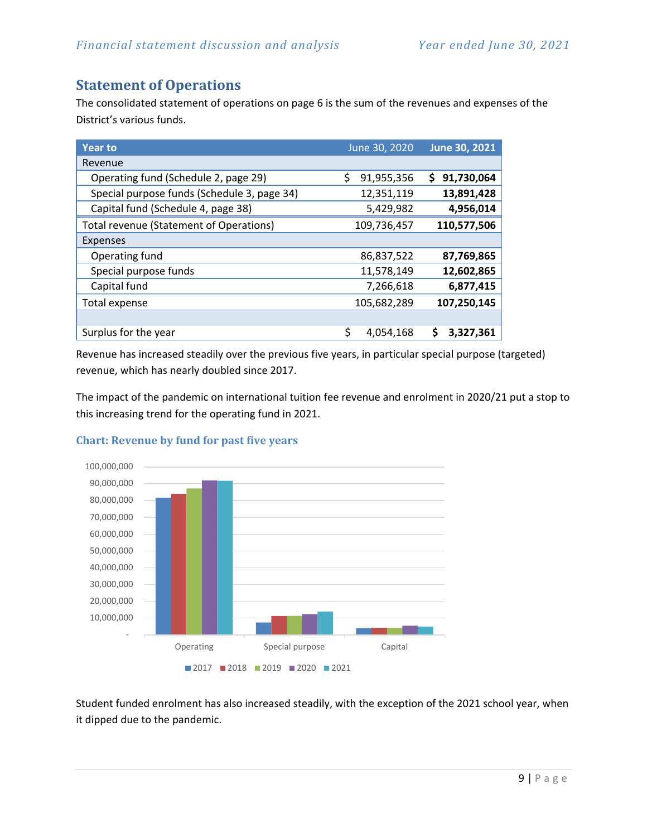# <span id="page-8-0"></span>**Statement of Operations**

The consolidated statement of operations on page 6 is the sum of the revenues and expenses of the District's various funds.

| <b>Year to</b>                              | June 30, 2020   | <b>June 30, 2021</b> |
|---------------------------------------------|-----------------|----------------------|
| Revenue                                     |                 |                      |
| Operating fund (Schedule 2, page 29)        | 91,955,356<br>Ś | 91,730,064<br>S      |
| Special purpose funds (Schedule 3, page 34) | 12,351,119      | 13,891,428           |
| Capital fund (Schedule 4, page 38)          | 5,429,982       | 4,956,014            |
| Total revenue (Statement of Operations)     | 109,736,457     | 110,577,506          |
| <b>Expenses</b>                             |                 |                      |
| Operating fund                              | 86,837,522      | 87,769,865           |
| Special purpose funds                       | 11,578,149      | 12,602,865           |
| Capital fund                                | 7,266,618       | 6,877,415            |
| Total expense                               | 105,682,289     | 107,250,145          |
|                                             |                 |                      |
| Surplus for the year                        | \$<br>4,054,168 | S<br>3,327,361       |

Revenue has increased steadily over the previous five years, in particular special purpose (targeted) revenue, which has nearly doubled since 2017.

The impact of the pandemic on international tuition fee revenue and enrolment in 2020/21 put a stop to this increasing trend for the operating fund in 2021.



#### **Chart: Revenue by fund for past five years**

Student funded enrolment has also increased steadily, with the exception of the 2021 school year, when it dipped due to the pandemic.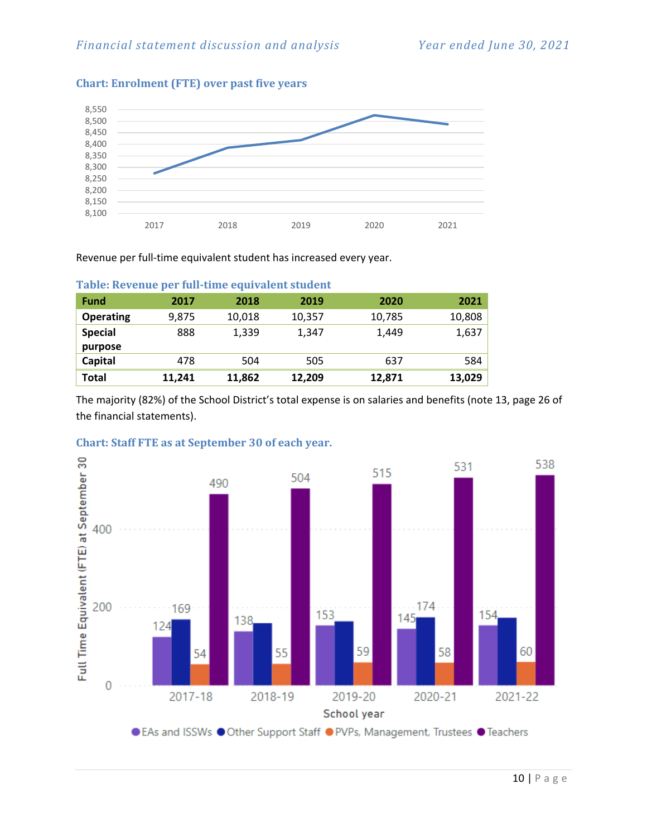

#### **Chart: Enrolment (FTE) over past five years**

Revenue per full-time equivalent student has increased every year.

| <b>Fund</b>      | 2017   | 2018   | 2019   | 2020   | 2021   |
|------------------|--------|--------|--------|--------|--------|
| <b>Operating</b> | 9,875  | 10,018 | 10,357 | 10,785 | 10,808 |
| <b>Special</b>   | 888    | 1,339  | 1,347  | 1,449  | 1,637  |
| purpose          |        |        |        |        |        |
| Capital          | 478    | 504    | 505    | 637    | 584    |
| <b>Total</b>     | 11,241 | 11,862 | 12,209 | 12,871 | 13,029 |

#### **Table: Revenue per full-time equivalent student**

The majority (82%) of the School District's total expense is on salaries and benefits (note 13, page 26 of the financial statements).



#### **Chart: Staff FTE as at September 30 of each year.**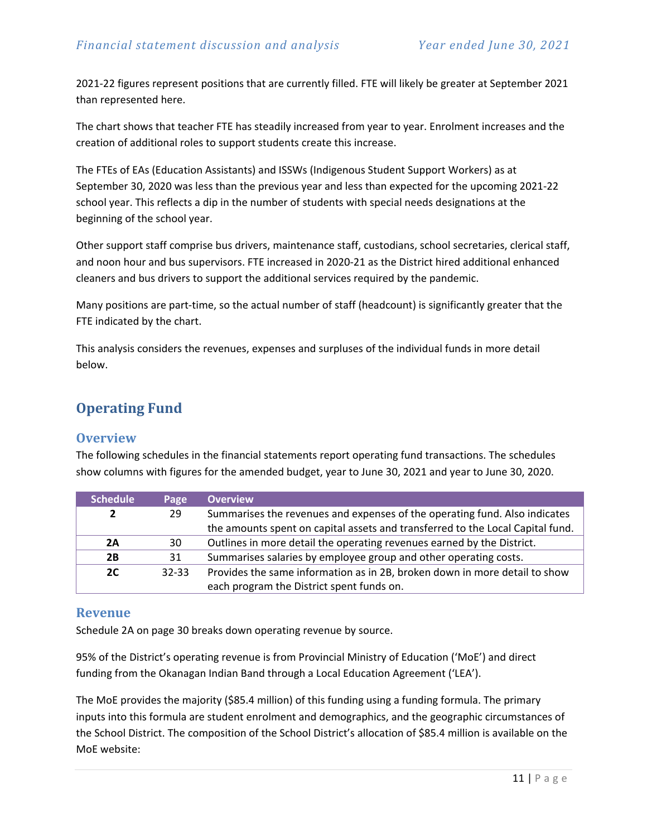2021-22 figures represent positions that are currently filled. FTE will likely be greater at September 2021 than represented here.

The chart shows that teacher FTE has steadily increased from year to year. Enrolment increases and the creation of additional roles to support students create this increase.

The FTEs of EAs (Education Assistants) and ISSWs (Indigenous Student Support Workers) as at September 30, 2020 was less than the previous year and less than expected for the upcoming 2021-22 school year. This reflects a dip in the number of students with special needs designations at the beginning of the school year.

Other support staff comprise bus drivers, maintenance staff, custodians, school secretaries, clerical staff, and noon hour and bus supervisors. FTE increased in 2020-21 as the District hired additional enhanced cleaners and bus drivers to support the additional services required by the pandemic.

Many positions are part-time, so the actual number of staff (headcount) is significantly greater that the FTE indicated by the chart.

This analysis considers the revenues, expenses and surpluses of the individual funds in more detail below.

# <span id="page-10-0"></span>**Operating Fund**

#### **Overview**

The following schedules in the financial statements report operating fund transactions. The schedules show columns with figures for the amended budget, year to June 30, 2021 and year to June 30, 2020.

| <b>Schedule</b> | Page      | <b>Overview</b>                                                                |
|-----------------|-----------|--------------------------------------------------------------------------------|
|                 | 29        | Summarises the revenues and expenses of the operating fund. Also indicates     |
|                 |           | the amounts spent on capital assets and transferred to the Local Capital fund. |
| 2A              | 30        | Outlines in more detail the operating revenues earned by the District.         |
| 2B              | 31        | Summarises salaries by employee group and other operating costs.               |
| 2C              | $32 - 33$ | Provides the same information as in 2B, broken down in more detail to show     |
|                 |           | each program the District spent funds on.                                      |

#### **Revenue**

Schedule 2A on page 30 breaks down operating revenue by source.

95% of the District's operating revenue is from Provincial Ministry of Education ('MoE') and direct funding from the Okanagan Indian Band through a Local Education Agreement ('LEA').

The MoE provides the majority (\$85.4 million) of this funding using a funding formula. The primary inputs into this formula are student enrolment and demographics, and the geographic circumstances of the School District. The composition of the School District's allocation of \$85.4 million is available on the MoE website: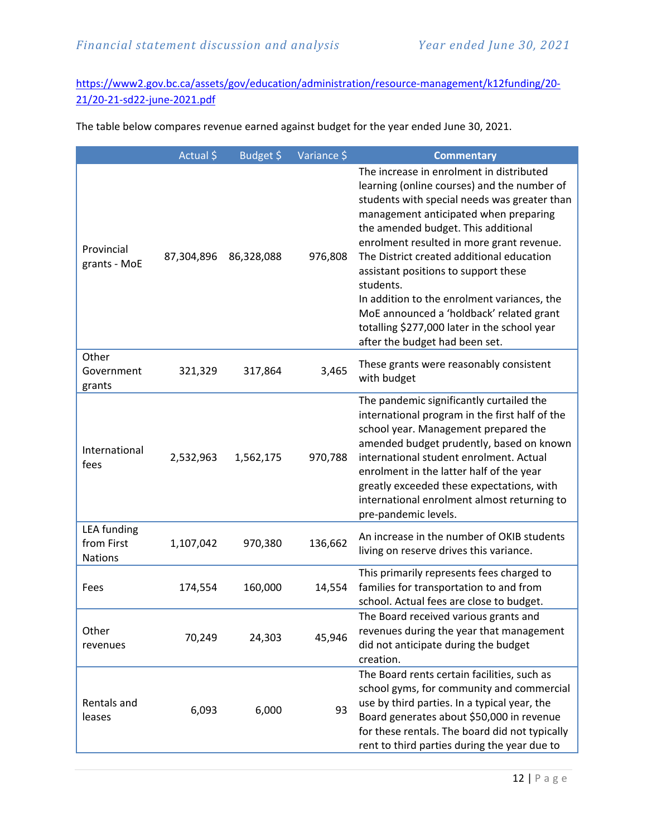[https://www2.gov.bc.ca/assets/gov/education/administration/resource-management/k12funding/20-](https://www2.gov.bc.ca/assets/gov/education/administration/resource-management/k12funding/20-21/20-21-sd22-june-2021.pdf) [21/20-21-sd22-june-2021.pdf](https://www2.gov.bc.ca/assets/gov/education/administration/resource-management/k12funding/20-21/20-21-sd22-june-2021.pdf)

The table below compares revenue earned against budget for the year ended June 30, 2021.

|                                                    | Actual \$  | Budget \$  | Variance \$ | <b>Commentary</b>                                                                                                                                                                                                                                                                                                                                                                                                                                                                                                                                   |
|----------------------------------------------------|------------|------------|-------------|-----------------------------------------------------------------------------------------------------------------------------------------------------------------------------------------------------------------------------------------------------------------------------------------------------------------------------------------------------------------------------------------------------------------------------------------------------------------------------------------------------------------------------------------------------|
| Provincial<br>grants - MoE                         | 87,304,896 | 86,328,088 | 976,808     | The increase in enrolment in distributed<br>learning (online courses) and the number of<br>students with special needs was greater than<br>management anticipated when preparing<br>the amended budget. This additional<br>enrolment resulted in more grant revenue.<br>The District created additional education<br>assistant positions to support these<br>students.<br>In addition to the enrolment variances, the<br>MoE announced a 'holdback' related grant<br>totalling \$277,000 later in the school year<br>after the budget had been set. |
| Other<br>Government<br>grants                      | 321,329    | 317,864    | 3,465       | These grants were reasonably consistent<br>with budget                                                                                                                                                                                                                                                                                                                                                                                                                                                                                              |
| International<br>fees                              | 2,532,963  | 1,562,175  | 970,788     | The pandemic significantly curtailed the<br>international program in the first half of the<br>school year. Management prepared the<br>amended budget prudently, based on known<br>international student enrolment. Actual<br>enrolment in the latter half of the year<br>greatly exceeded these expectations, with<br>international enrolment almost returning to<br>pre-pandemic levels.                                                                                                                                                           |
| <b>LEA</b> funding<br>from First<br><b>Nations</b> | 1,107,042  | 970,380    | 136,662     | An increase in the number of OKIB students<br>living on reserve drives this variance.                                                                                                                                                                                                                                                                                                                                                                                                                                                               |
| Fees                                               | 174,554    | 160,000    | 14,554      | This primarily represents fees charged to<br>families for transportation to and from<br>school. Actual fees are close to budget.                                                                                                                                                                                                                                                                                                                                                                                                                    |
| Other<br>revenues                                  | 70,249     | 24,303     | 45,946      | The Board received various grants and<br>revenues during the year that management<br>did not anticipate during the budget<br>creation.                                                                                                                                                                                                                                                                                                                                                                                                              |
| Rentals and<br>leases                              | 6,093      | 6,000      | 93          | The Board rents certain facilities, such as<br>school gyms, for community and commercial<br>use by third parties. In a typical year, the<br>Board generates about \$50,000 in revenue<br>for these rentals. The board did not typically<br>rent to third parties during the year due to                                                                                                                                                                                                                                                             |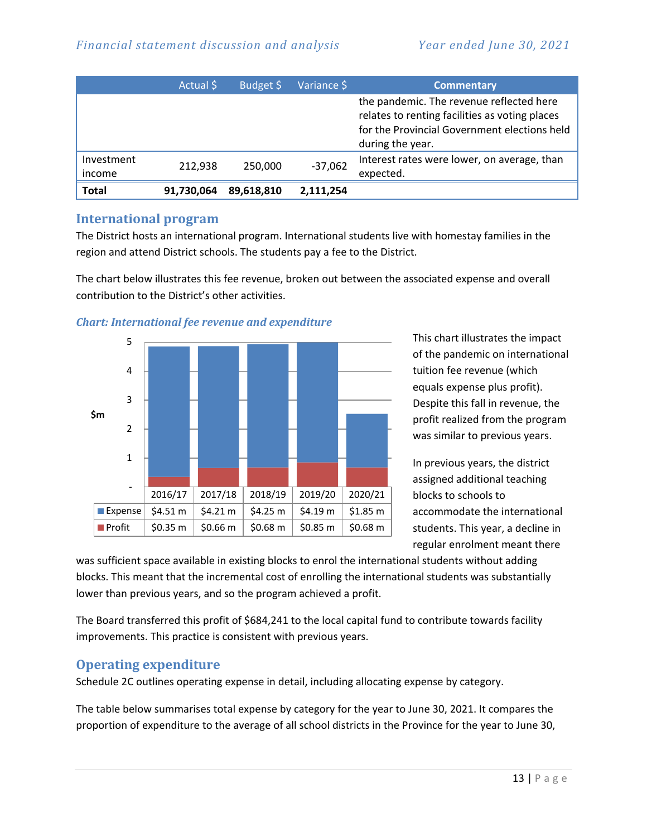|              | Actual \$  | Budget \$  | Variance \$ | <b>Commentary</b>                                                                                                                                              |
|--------------|------------|------------|-------------|----------------------------------------------------------------------------------------------------------------------------------------------------------------|
|              |            |            |             | the pandemic. The revenue reflected here<br>relates to renting facilities as voting places<br>for the Provincial Government elections held<br>during the year. |
| Investment   | 212.938    | 250,000    | $-37,062$   | Interest rates were lower, on average, than                                                                                                                    |
| income       |            |            |             | expected.                                                                                                                                                      |
| <b>Total</b> | 91,730,064 | 89,618,810 | 2,111,254   |                                                                                                                                                                |

### **International program**

The District hosts an international program. International students live with homestay families in the region and attend District schools. The students pay a fee to the District.

The chart below illustrates this fee revenue, broken out between the associated expense and overall contribution to the District's other activities.



#### *Chart: International fee revenue and expenditure*

This chart illustrates the impact of the pandemic on international tuition fee revenue (which equals expense plus profit). Despite this fall in revenue, the profit realized from the program was similar to previous years.

In previous years, the district assigned additional teaching blocks to schools to accommodate the international students. This year, a decline in regular enrolment meant there

was sufficient space available in existing blocks to enrol the international students without adding blocks. This meant that the incremental cost of enrolling the international students was substantially lower than previous years, and so the program achieved a profit.

The Board transferred this profit of \$684,241 to the local capital fund to contribute towards facility improvements. This practice is consistent with previous years.

## **Operating expenditure**

Schedule 2C outlines operating expense in detail, including allocating expense by category.

The table below summarises total expense by category for the year to June 30, 2021. It compares the proportion of expenditure to the average of all school districts in the Province for the year to June 30,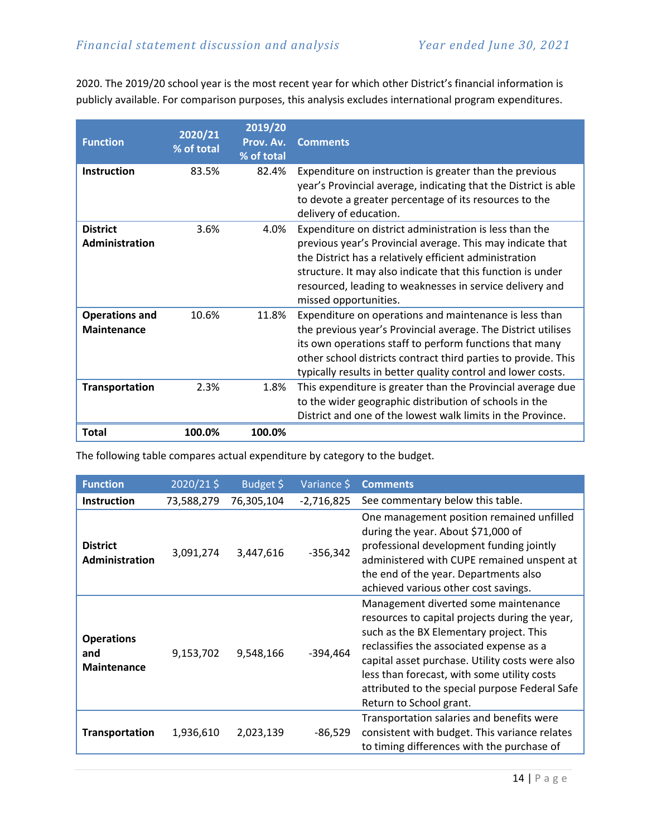2020. The 2019/20 school year is the most recent year for which other District's financial information is publicly available. For comparison purposes, this analysis excludes international program expenditures.

| <b>Function</b>                             | 2020/21<br>% of total | 2019/20<br>Prov. Av.<br>% of total | <b>Comments</b>                                                                                                                                                                                                                                                                                                                     |
|---------------------------------------------|-----------------------|------------------------------------|-------------------------------------------------------------------------------------------------------------------------------------------------------------------------------------------------------------------------------------------------------------------------------------------------------------------------------------|
| <b>Instruction</b>                          | 83.5%                 | 82.4%                              | Expenditure on instruction is greater than the previous<br>year's Provincial average, indicating that the District is able<br>to devote a greater percentage of its resources to the<br>delivery of education.                                                                                                                      |
| <b>District</b><br>Administration           | 3.6%                  | 4.0%                               | Expenditure on district administration is less than the<br>previous year's Provincial average. This may indicate that<br>the District has a relatively efficient administration<br>structure. It may also indicate that this function is under<br>resourced, leading to weaknesses in service delivery and<br>missed opportunities. |
| <b>Operations and</b><br><b>Maintenance</b> | 10.6%                 | 11.8%                              | Expenditure on operations and maintenance is less than<br>the previous year's Provincial average. The District utilises<br>its own operations staff to perform functions that many<br>other school districts contract third parties to provide. This<br>typically results in better quality control and lower costs.                |
| <b>Transportation</b>                       | 2.3%                  | 1.8%                               | This expenditure is greater than the Provincial average due<br>to the wider geographic distribution of schools in the<br>District and one of the lowest walk limits in the Province.                                                                                                                                                |
| Total                                       | 100.0%                | 100.0%                             |                                                                                                                                                                                                                                                                                                                                     |

The following table compares actual expenditure by category to the budget.

| <b>Function</b>                                | 2020/21\$  | Budget \$  | Variance \$  | <b>Comments</b>                                                                                                                                                                                                                                                                                                                                              |
|------------------------------------------------|------------|------------|--------------|--------------------------------------------------------------------------------------------------------------------------------------------------------------------------------------------------------------------------------------------------------------------------------------------------------------------------------------------------------------|
| <b>Instruction</b>                             | 73,588,279 | 76,305,104 | $-2,716,825$ | See commentary below this table.                                                                                                                                                                                                                                                                                                                             |
| <b>District</b><br>Administration              | 3,091,274  | 3,447,616  | $-356,342$   | One management position remained unfilled<br>during the year. About \$71,000 of<br>professional development funding jointly<br>administered with CUPE remained unspent at<br>the end of the year. Departments also<br>achieved various other cost savings.                                                                                                   |
| <b>Operations</b><br>and<br><b>Maintenance</b> | 9,153,702  | 9,548,166  | -394,464     | Management diverted some maintenance<br>resources to capital projects during the year,<br>such as the BX Elementary project. This<br>reclassifies the associated expense as a<br>capital asset purchase. Utility costs were also<br>less than forecast, with some utility costs<br>attributed to the special purpose Federal Safe<br>Return to School grant. |
| <b>Transportation</b>                          | 1,936,610  | 2,023,139  | $-86,529$    | Transportation salaries and benefits were<br>consistent with budget. This variance relates<br>to timing differences with the purchase of                                                                                                                                                                                                                     |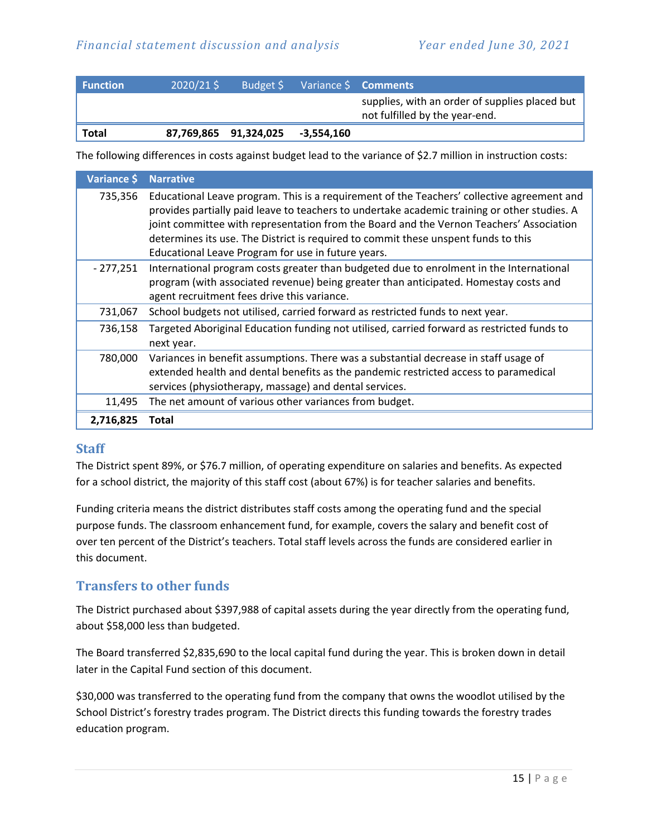| <b>Function</b> | $2020/21$ \$ | Budget \$             |            | Variance \$ <b>Comments</b>                                                      |
|-----------------|--------------|-----------------------|------------|----------------------------------------------------------------------------------|
|                 |              |                       |            | supplies, with an order of supplies placed but<br>not fulfilled by the year-end. |
| Total           |              | 87,769,865 91,324,025 | -3,554,160 |                                                                                  |

The following differences in costs against budget lead to the variance of \$2.7 million in instruction costs:

| Variance \$ | <b>Narrative</b>                                                                                                                                                                                                                                                                                                                                                                                                                  |
|-------------|-----------------------------------------------------------------------------------------------------------------------------------------------------------------------------------------------------------------------------------------------------------------------------------------------------------------------------------------------------------------------------------------------------------------------------------|
| 735,356     | Educational Leave program. This is a requirement of the Teachers' collective agreement and<br>provides partially paid leave to teachers to undertake academic training or other studies. A<br>joint committee with representation from the Board and the Vernon Teachers' Association<br>determines its use. The District is required to commit these unspent funds to this<br>Educational Leave Program for use in future years. |
| $-277,251$  | International program costs greater than budgeted due to enrolment in the International<br>program (with associated revenue) being greater than anticipated. Homestay costs and<br>agent recruitment fees drive this variance.                                                                                                                                                                                                    |
| 731,067     | School budgets not utilised, carried forward as restricted funds to next year.                                                                                                                                                                                                                                                                                                                                                    |
| 736,158     | Targeted Aboriginal Education funding not utilised, carried forward as restricted funds to<br>next year.                                                                                                                                                                                                                                                                                                                          |
| 780,000     | Variances in benefit assumptions. There was a substantial decrease in staff usage of<br>extended health and dental benefits as the pandemic restricted access to paramedical<br>services (physiotherapy, massage) and dental services.                                                                                                                                                                                            |
| 11,495      | The net amount of various other variances from budget.                                                                                                                                                                                                                                                                                                                                                                            |
| 2,716,825   | Total                                                                                                                                                                                                                                                                                                                                                                                                                             |

#### **Staff**

The District spent 89%, or \$76.7 million, of operating expenditure on salaries and benefits. As expected for a school district, the majority of this staff cost (about 67%) is for teacher salaries and benefits.

Funding criteria means the district distributes staff costs among the operating fund and the special purpose funds. The classroom enhancement fund, for example, covers the salary and benefit cost of over ten percent of the District's teachers. Total staff levels across the funds are considered earlier in this document.

## **Transfers to other funds**

The District purchased about \$397,988 of capital assets during the year directly from the operating fund, about \$58,000 less than budgeted.

The Board transferred \$2,835,690 to the local capital fund during the year. This is broken down in detail later in the Capital Fund section of this document.

\$30,000 was transferred to the operating fund from the company that owns the woodlot utilised by the School District's forestry trades program. The District directs this funding towards the forestry trades education program.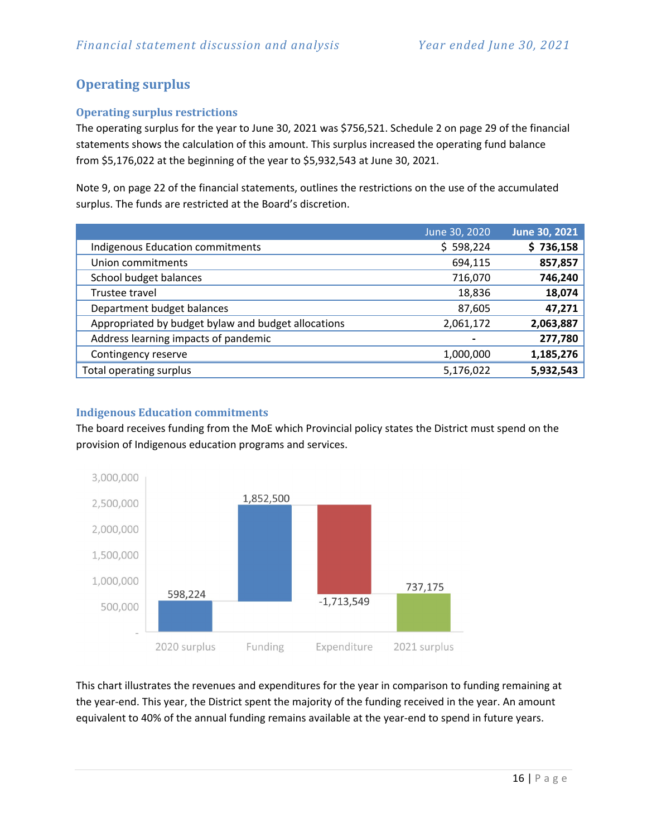## **Operating surplus**

#### **Operating surplus restrictions**

The operating surplus for the year to June 30, 2021 was \$756,521. Schedule 2 on page 29 of the financial statements shows the calculation of this amount. This surplus increased the operating fund balance from \$5,176,022 at the beginning of the year to \$5,932,543 at June 30, 2021.

Note 9, on page 22 of the financial statements, outlines the restrictions on the use of the accumulated surplus. The funds are restricted at the Board's discretion.

|                                                     | June 30, 2020  | June 30, 2021 |
|-----------------------------------------------------|----------------|---------------|
| <b>Indigenous Education commitments</b>             | \$598,224      | \$736,158     |
| Union commitments                                   | 694,115        | 857,857       |
| School budget balances                              | 716,070        | 746,240       |
| Trustee travel                                      | 18,836         | 18,074        |
| Department budget balances                          | 87,605         | 47,271        |
| Appropriated by budget bylaw and budget allocations | 2,061,172      | 2,063,887     |
| Address learning impacts of pandemic                | $\blacksquare$ | 277,780       |
| Contingency reserve                                 | 1,000,000      | 1,185,276     |
| Total operating surplus                             | 5,176,022      | 5,932,543     |

#### **Indigenous Education commitments**

The board receives funding from the MoE which Provincial policy states the District must spend on the provision of Indigenous education programs and services.



This chart illustrates the revenues and expenditures for the year in comparison to funding remaining at the year-end. This year, the District spent the majority of the funding received in the year. An amount equivalent to 40% of the annual funding remains available at the year-end to spend in future years.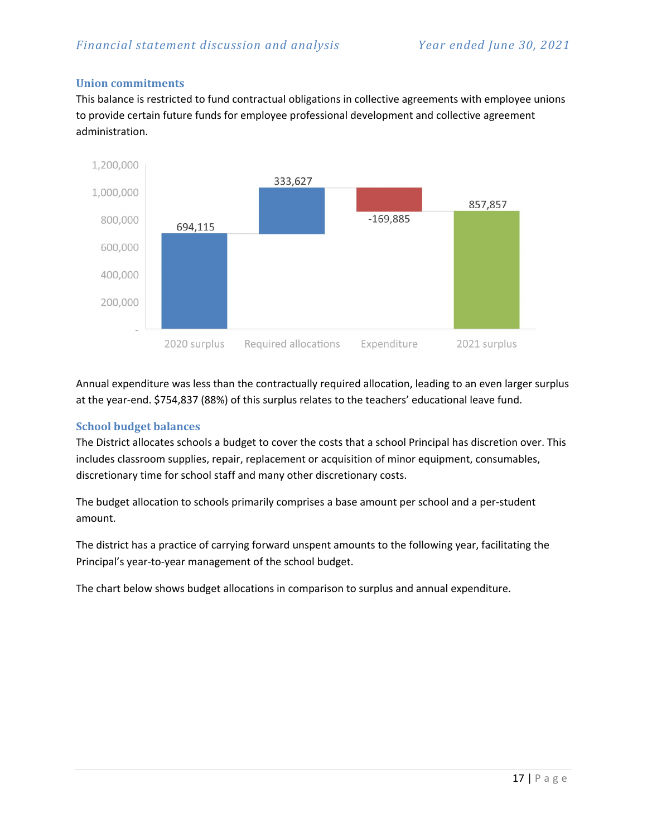#### **Union commitments**

This balance is restricted to fund contractual obligations in collective agreements with employee unions to provide certain future funds for employee professional development and collective agreement administration.



Annual expenditure was less than the contractually required allocation, leading to an even larger surplus at the year-end. \$754,837 (88%) of this surplus relates to the teachers' educational leave fund.

#### **School budget balances**

The District allocates schools a budget to cover the costs that a school Principal has discretion over. This includes classroom supplies, repair, replacement or acquisition of minor equipment, consumables, discretionary time for school staff and many other discretionary costs.

The budget allocation to schools primarily comprises a base amount per school and a per-student amount.

The district has a practice of carrying forward unspent amounts to the following year, facilitating the Principal's year-to-year management of the school budget.

The chart below shows budget allocations in comparison to surplus and annual expenditure.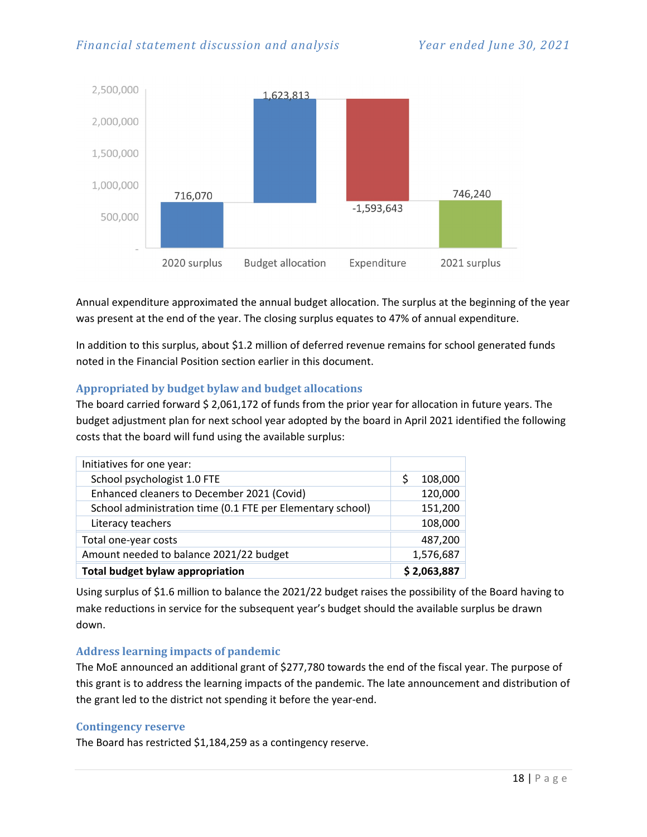

Annual expenditure approximated the annual budget allocation. The surplus at the beginning of the year was present at the end of the year. The closing surplus equates to 47% of annual expenditure.

In addition to this surplus, about \$1.2 million of deferred revenue remains for school generated funds noted in the Financial Position section earlier in this document.

#### **Appropriated by budget bylaw and budget allocations**

The board carried forward \$ 2,061,172 of funds from the prior year for allocation in future years. The budget adjustment plan for next school year adopted by the board in April 2021 identified the following costs that the board will fund using the available surplus:

| Initiatives for one year:                                  |             |
|------------------------------------------------------------|-------------|
| School psychologist 1.0 FTE                                | 108,000     |
| Enhanced cleaners to December 2021 (Covid)                 | 120,000     |
| School administration time (0.1 FTE per Elementary school) | 151,200     |
| Literacy teachers                                          | 108,000     |
| Total one-year costs                                       | 487,200     |
| Amount needed to balance 2021/22 budget                    | 1,576,687   |
| <b>Total budget bylaw appropriation</b>                    | \$2,063,887 |

Using surplus of \$1.6 million to balance the 2021/22 budget raises the possibility of the Board having to make reductions in service for the subsequent year's budget should the available surplus be drawn down.

#### **Address learning impacts of pandemic**

The MoE announced an additional grant of \$277,780 towards the end of the fiscal year. The purpose of this grant is to address the learning impacts of the pandemic. The late announcement and distribution of the grant led to the district not spending it before the year-end.

#### **Contingency reserve**

The Board has restricted \$1,184,259 as a contingency reserve.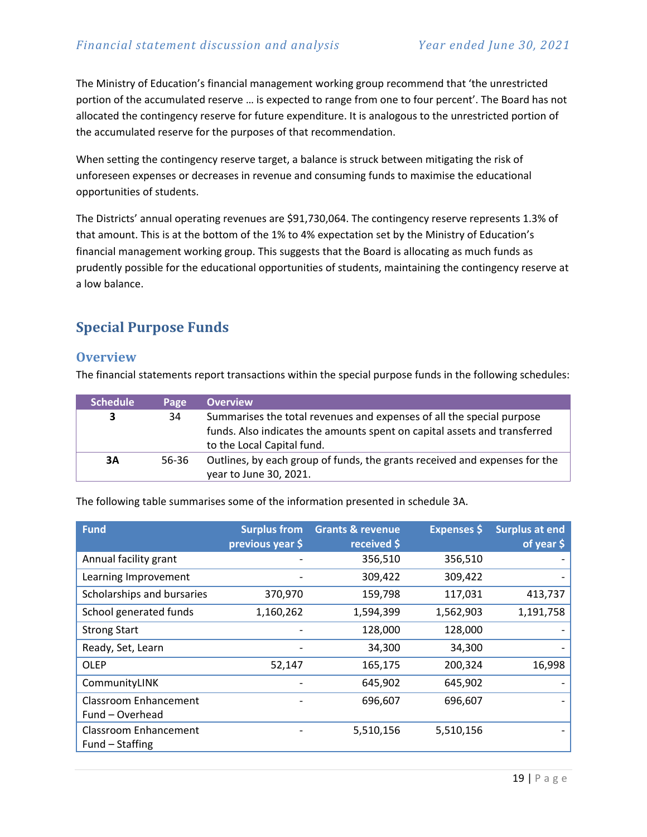The Ministry of Education's financial management working group recommend that 'the unrestricted portion of the accumulated reserve … is expected to range from one to four percent'. The Board has not allocated the contingency reserve for future expenditure. It is analogous to the unrestricted portion of the accumulated reserve for the purposes of that recommendation.

When setting the contingency reserve target, a balance is struck between mitigating the risk of unforeseen expenses or decreases in revenue and consuming funds to maximise the educational opportunities of students.

The Districts' annual operating revenues are \$91,730,064. The contingency reserve represents 1.3% of that amount. This is at the bottom of the 1% to 4% expectation set by the Ministry of Education's financial management working group. This suggests that the Board is allocating as much funds as prudently possible for the educational opportunities of students, maintaining the contingency reserve at a low balance.

# <span id="page-18-0"></span>**Special Purpose Funds**

### **Overview**

The financial statements report transactions within the special purpose funds in the following schedules:

| <b>Schedule</b> | Page  | <b>Overview</b>                                                            |
|-----------------|-------|----------------------------------------------------------------------------|
| 3               | 34    | Summarises the total revenues and expenses of all the special purpose      |
|                 |       | funds. Also indicates the amounts spent on capital assets and transferred  |
|                 |       | to the Local Capital fund.                                                 |
| 3A              | 56-36 | Outlines, by each group of funds, the grants received and expenses for the |
|                 |       | year to June 30, 2021.                                                     |

The following table summarises some of the information presented in schedule 3A.

| <b>Fund</b>                  | <b>Surplus from</b><br>previous year \$ | <b>Grants &amp; revenue</b><br>received \$ | <b>Expenses</b> \$ | <b>Surplus at end</b><br>of year \$ |
|------------------------------|-----------------------------------------|--------------------------------------------|--------------------|-------------------------------------|
| Annual facility grant        |                                         | 356,510                                    | 356,510            |                                     |
| Learning Improvement         |                                         | 309,422                                    | 309,422            |                                     |
| Scholarships and bursaries   | 370,970                                 | 159,798                                    | 117,031            | 413,737                             |
| School generated funds       | 1,160,262                               | 1,594,399                                  | 1,562,903          | 1,191,758                           |
| <b>Strong Start</b>          |                                         | 128,000                                    | 128,000            |                                     |
| Ready, Set, Learn            |                                         | 34,300                                     | 34,300             |                                     |
| <b>OLEP</b>                  | 52,147                                  | 165,175                                    | 200,324            | 16,998                              |
| CommunityLINK                |                                         | 645,902                                    | 645,902            |                                     |
| <b>Classroom Enhancement</b> |                                         | 696,607                                    | 696,607            |                                     |
| Fund - Overhead              |                                         |                                            |                    |                                     |
| Classroom Enhancement        |                                         | 5,510,156                                  | 5,510,156          |                                     |
| Fund – Staffing              |                                         |                                            |                    |                                     |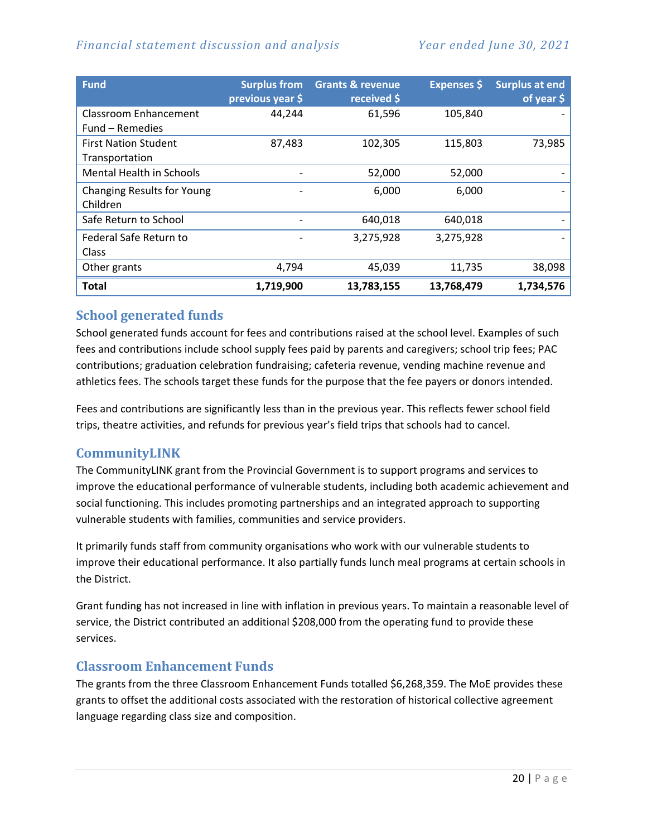## *Financial statement discussion and analysis Year ended June 30, 2021*

| <b>Fund</b>                       | <b>Surplus from</b><br>previous year \$ | <b>Grants &amp; revenue</b><br>received \$ | <b>Expenses</b> \$ | <b>Surplus at end</b><br>of year $\oint$ |
|-----------------------------------|-----------------------------------------|--------------------------------------------|--------------------|------------------------------------------|
| <b>Classroom Enhancement</b>      | 44,244                                  | 61,596                                     | 105,840            |                                          |
| Fund – Remedies                   |                                         |                                            |                    |                                          |
| <b>First Nation Student</b>       | 87,483                                  | 102,305                                    | 115,803            | 73,985                                   |
| Transportation                    |                                         |                                            |                    |                                          |
| Mental Health in Schools          |                                         | 52,000                                     | 52,000             |                                          |
| <b>Changing Results for Young</b> |                                         | 6,000                                      | 6,000              |                                          |
| Children                          |                                         |                                            |                    |                                          |
| Safe Return to School             |                                         | 640,018                                    | 640,018            |                                          |
| Federal Safe Return to            |                                         | 3,275,928                                  | 3,275,928          |                                          |
| Class                             |                                         |                                            |                    |                                          |
| Other grants                      | 4,794                                   | 45,039                                     | 11,735             | 38,098                                   |
| Total                             | 1,719,900                               | 13,783,155                                 | 13,768,479         | 1,734,576                                |

## **School generated funds**

School generated funds account for fees and contributions raised at the school level. Examples of such fees and contributions include school supply fees paid by parents and caregivers; school trip fees; PAC contributions; graduation celebration fundraising; cafeteria revenue, vending machine revenue and athletics fees. The schools target these funds for the purpose that the fee payers or donors intended.

Fees and contributions are significantly less than in the previous year. This reflects fewer school field trips, theatre activities, and refunds for previous year's field trips that schools had to cancel.

## **CommunityLINK**

The CommunityLINK grant from the Provincial Government is to support programs and services to improve the educational performance of vulnerable students, including both academic achievement and social functioning. This includes promoting partnerships and an integrated approach to supporting vulnerable students with families, communities and service providers.

It primarily funds staff from community organisations who work with our vulnerable students to improve their educational performance. It also partially funds lunch meal programs at certain schools in the District.

Grant funding has not increased in line with inflation in previous years. To maintain a reasonable level of service, the District contributed an additional \$208,000 from the operating fund to provide these services.

## **Classroom Enhancement Funds**

The grants from the three Classroom Enhancement Funds totalled \$6,268,359. The MoE provides these grants to offset the additional costs associated with the restoration of historical collective agreement language regarding class size and composition.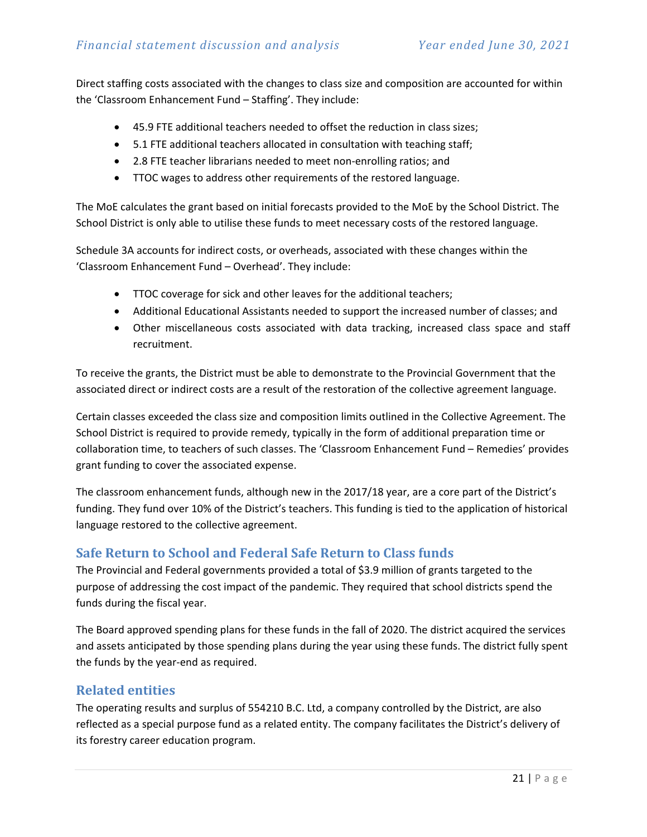Direct staffing costs associated with the changes to class size and composition are accounted for within the 'Classroom Enhancement Fund – Staffing'. They include:

- 45.9 FTE additional teachers needed to offset the reduction in class sizes;
- 5.1 FTE additional teachers allocated in consultation with teaching staff;
- 2.8 FTE teacher librarians needed to meet non-enrolling ratios; and
- TTOC wages to address other requirements of the restored language.

The MoE calculates the grant based on initial forecasts provided to the MoE by the School District. The School District is only able to utilise these funds to meet necessary costs of the restored language.

Schedule 3A accounts for indirect costs, or overheads, associated with these changes within the 'Classroom Enhancement Fund – Overhead'. They include:

- TTOC coverage for sick and other leaves for the additional teachers;
- Additional Educational Assistants needed to support the increased number of classes; and
- Other miscellaneous costs associated with data tracking, increased class space and staff recruitment.

To receive the grants, the District must be able to demonstrate to the Provincial Government that the associated direct or indirect costs are a result of the restoration of the collective agreement language.

Certain classes exceeded the class size and composition limits outlined in the Collective Agreement. The School District is required to provide remedy, typically in the form of additional preparation time or collaboration time, to teachers of such classes. The 'Classroom Enhancement Fund – Remedies' provides grant funding to cover the associated expense.

The classroom enhancement funds, although new in the 2017/18 year, are a core part of the District's funding. They fund over 10% of the District's teachers. This funding is tied to the application of historical language restored to the collective agreement.

## **Safe Return to School and Federal Safe Return to Class funds**

The Provincial and Federal governments provided a total of \$3.9 million of grants targeted to the purpose of addressing the cost impact of the pandemic. They required that school districts spend the funds during the fiscal year.

The Board approved spending plans for these funds in the fall of 2020. The district acquired the services and assets anticipated by those spending plans during the year using these funds. The district fully spent the funds by the year-end as required.

## **Related entities**

The operating results and surplus of 554210 B.C. Ltd, a company controlled by the District, are also reflected as a special purpose fund as a related entity. The company facilitates the District's delivery of its forestry career education program.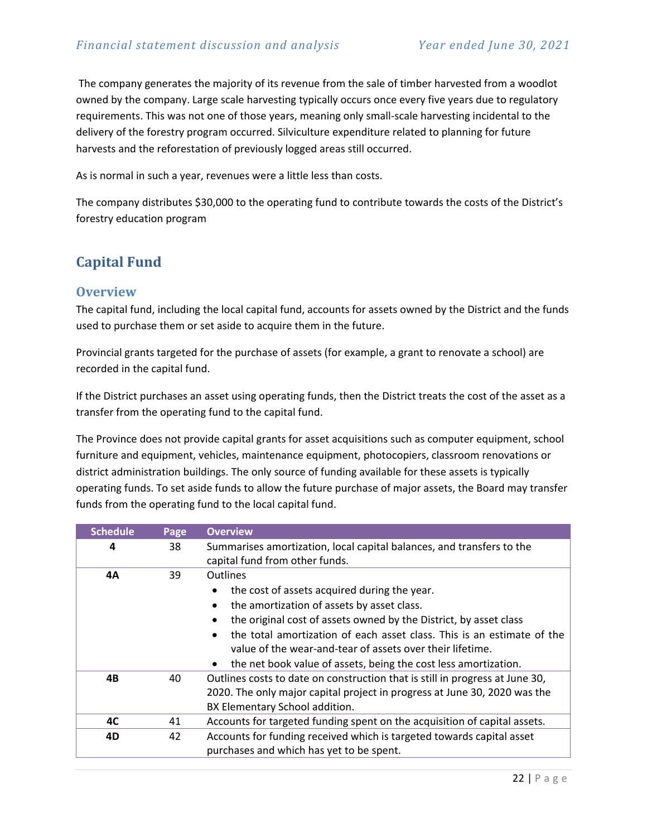The company generates the majority of its revenue from the sale of timber harvested from a woodlot owned by the company. Large scale harvesting typically occurs once every five years due to regulatory requirements. This was not one of those years, meaning only small-scale harvesting incidental to the delivery of the forestry program occurred. Silviculture expenditure related to planning for future harvests and the reforestation of previously logged areas still occurred.

As is normal in such a year, revenues were a little less than costs.

The company distributes \$30,000 to the operating fund to contribute towards the costs of the District's forestry education program

# <span id="page-21-0"></span>**Capital Fund**

### **Overview**

The capital fund, including the local capital fund, accounts for assets owned by the District and the funds used to purchase them or set aside to acquire them in the future.

Provincial grants targeted for the purchase of assets (for example, a grant to renovate a school) are recorded in the capital fund.

If the District purchases an asset using operating funds, then the District treats the cost of the asset as a transfer from the operating fund to the capital fund.

The Province does not provide capital grants for asset acquisitions such as computer equipment, school furniture and equipment, vehicles, maintenance equipment, photocopiers, classroom renovations or district administration buildings. The only source of funding available for these assets is typically operating funds. To set aside funds to allow the future purchase of major assets, the Board may transfer funds from the operating fund to the local capital fund.

| <b>Schedule</b> | Page | <b>Overview</b>                                                                                                                                                                                                                                                                                                                                                                                           |  |  |  |  |  |
|-----------------|------|-----------------------------------------------------------------------------------------------------------------------------------------------------------------------------------------------------------------------------------------------------------------------------------------------------------------------------------------------------------------------------------------------------------|--|--|--|--|--|
| 4               | 38   | Summarises amortization, local capital balances, and transfers to the<br>capital fund from other funds.                                                                                                                                                                                                                                                                                                   |  |  |  |  |  |
| 4Α              | 39   | <b>Outlines</b><br>the cost of assets acquired during the year.<br>the amortization of assets by asset class.<br>the original cost of assets owned by the District, by asset class<br>the total amortization of each asset class. This is an estimate of the<br>value of the wear-and-tear of assets over their lifetime.<br>the net book value of assets, being the cost less amortization.<br>$\bullet$ |  |  |  |  |  |
| 4B              | 40   | Outlines costs to date on construction that is still in progress at June 30,<br>2020. The only major capital project in progress at June 30, 2020 was the<br>BX Elementary School addition.                                                                                                                                                                                                               |  |  |  |  |  |
| 4C              | 41   | Accounts for targeted funding spent on the acquisition of capital assets.                                                                                                                                                                                                                                                                                                                                 |  |  |  |  |  |
| 4D              | 42   | Accounts for funding received which is targeted towards capital asset<br>purchases and which has yet to be spent.                                                                                                                                                                                                                                                                                         |  |  |  |  |  |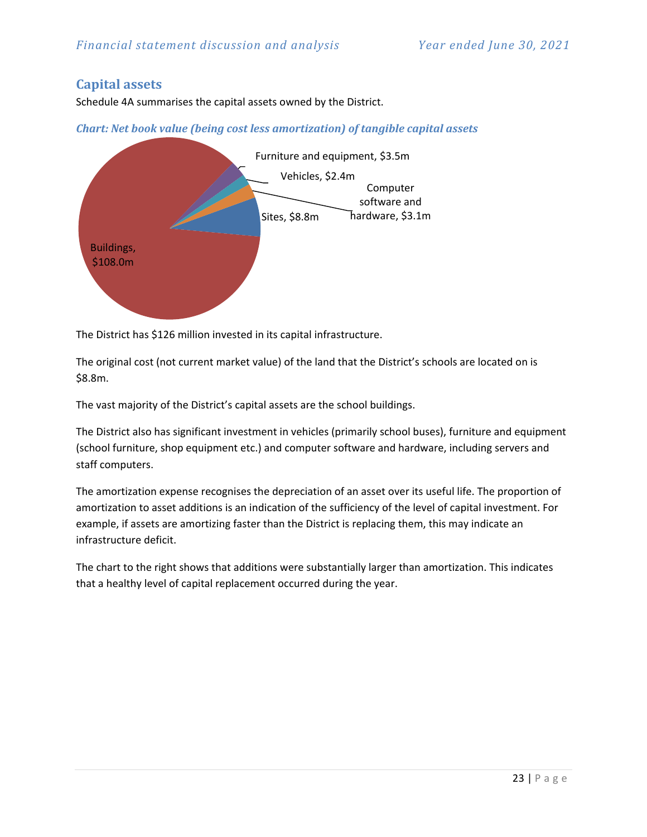## **Capital assets**

Schedule 4A summarises the capital assets owned by the District.

*Chart: Net book value (being cost less amortization) of tangible capital assets*



The District has \$126 million invested in its capital infrastructure.

The original cost (not current market value) of the land that the District's schools are located on is \$8.8m.

The vast majority of the District's capital assets are the school buildings.

The District also has significant investment in vehicles (primarily school buses), furniture and equipment (school furniture, shop equipment etc.) and computer software and hardware, including servers and staff computers.

The amortization expense recognises the depreciation of an asset over its useful life. The proportion of amortization to asset additions is an indication of the sufficiency of the level of capital investment. For example, if assets are amortizing faster than the District is replacing them, this may indicate an infrastructure deficit.

The chart to the right shows that additions were substantially larger than amortization. This indicates that a healthy level of capital replacement occurred during the year.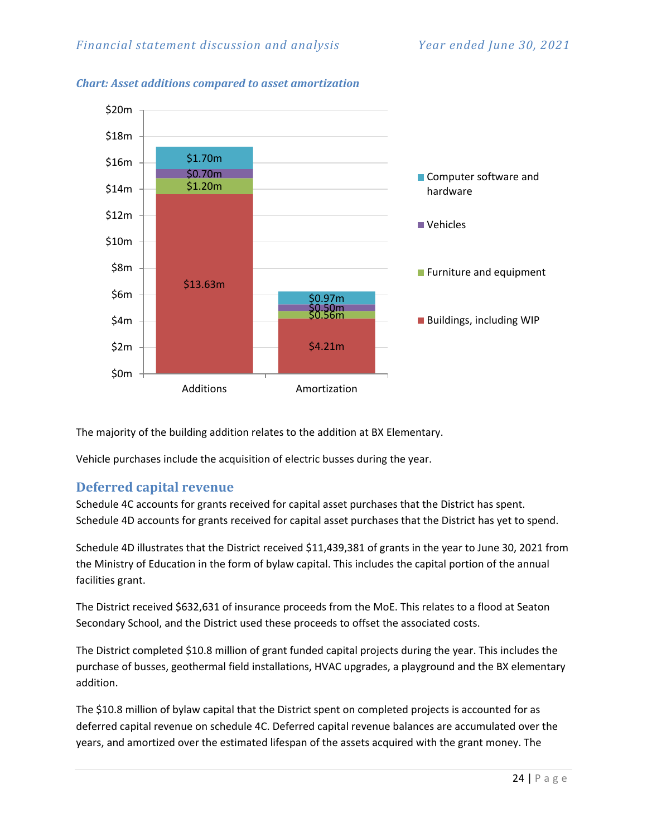

#### *Chart: Asset additions compared to asset amortization*

The majority of the building addition relates to the addition at BX Elementary.

Vehicle purchases include the acquisition of electric busses during the year.

## **Deferred capital revenue**

Schedule 4C accounts for grants received for capital asset purchases that the District has spent. Schedule 4D accounts for grants received for capital asset purchases that the District has yet to spend.

Schedule 4D illustrates that the District received \$11,439,381 of grants in the year to June 30, 2021 from the Ministry of Education in the form of bylaw capital. This includes the capital portion of the annual facilities grant.

The District received \$632,631 of insurance proceeds from the MoE. This relates to a flood at Seaton Secondary School, and the District used these proceeds to offset the associated costs.

The District completed \$10.8 million of grant funded capital projects during the year. This includes the purchase of busses, geothermal field installations, HVAC upgrades, a playground and the BX elementary addition.

The \$10.8 million of bylaw capital that the District spent on completed projects is accounted for as deferred capital revenue on schedule 4C. Deferred capital revenue balances are accumulated over the years, and amortized over the estimated lifespan of the assets acquired with the grant money. The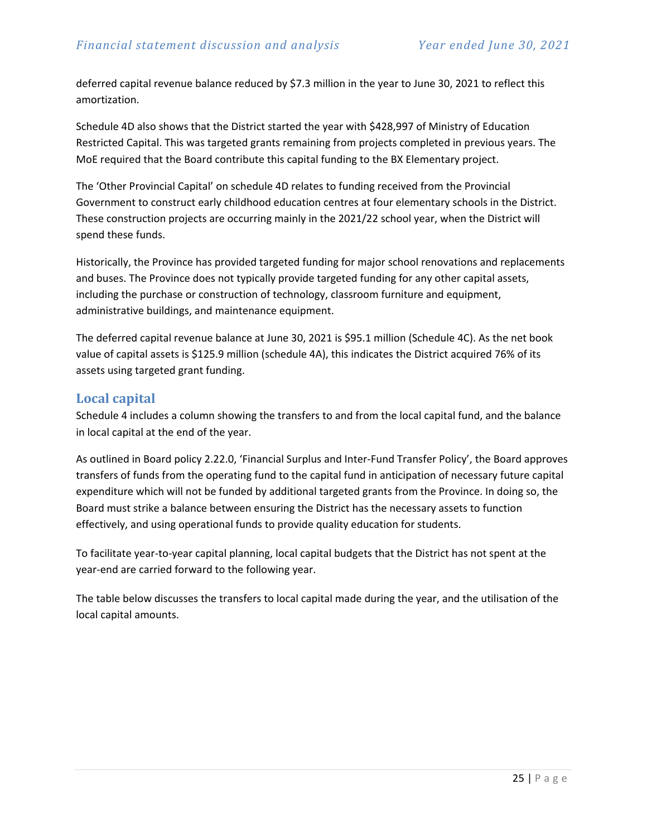deferred capital revenue balance reduced by \$7.3 million in the year to June 30, 2021 to reflect this amortization.

Schedule 4D also shows that the District started the year with \$428,997 of Ministry of Education Restricted Capital. This was targeted grants remaining from projects completed in previous years. The MoE required that the Board contribute this capital funding to the BX Elementary project.

The 'Other Provincial Capital' on schedule 4D relates to funding received from the Provincial Government to construct early childhood education centres at four elementary schools in the District. These construction projects are occurring mainly in the 2021/22 school year, when the District will spend these funds.

Historically, the Province has provided targeted funding for major school renovations and replacements and buses. The Province does not typically provide targeted funding for any other capital assets, including the purchase or construction of technology, classroom furniture and equipment, administrative buildings, and maintenance equipment.

The deferred capital revenue balance at June 30, 2021 is \$95.1 million (Schedule 4C). As the net book value of capital assets is \$125.9 million (schedule 4A), this indicates the District acquired 76% of its assets using targeted grant funding.

### **Local capital**

Schedule 4 includes a column showing the transfers to and from the local capital fund, and the balance in local capital at the end of the year.

As outlined in Board policy 2.22.0, 'Financial Surplus and Inter-Fund Transfer Policy', the Board approves transfers of funds from the operating fund to the capital fund in anticipation of necessary future capital expenditure which will not be funded by additional targeted grants from the Province. In doing so, the Board must strike a balance between ensuring the District has the necessary assets to function effectively, and using operational funds to provide quality education for students.

To facilitate year-to-year capital planning, local capital budgets that the District has not spent at the year-end are carried forward to the following year.

The table below discusses the transfers to local capital made during the year, and the utilisation of the local capital amounts.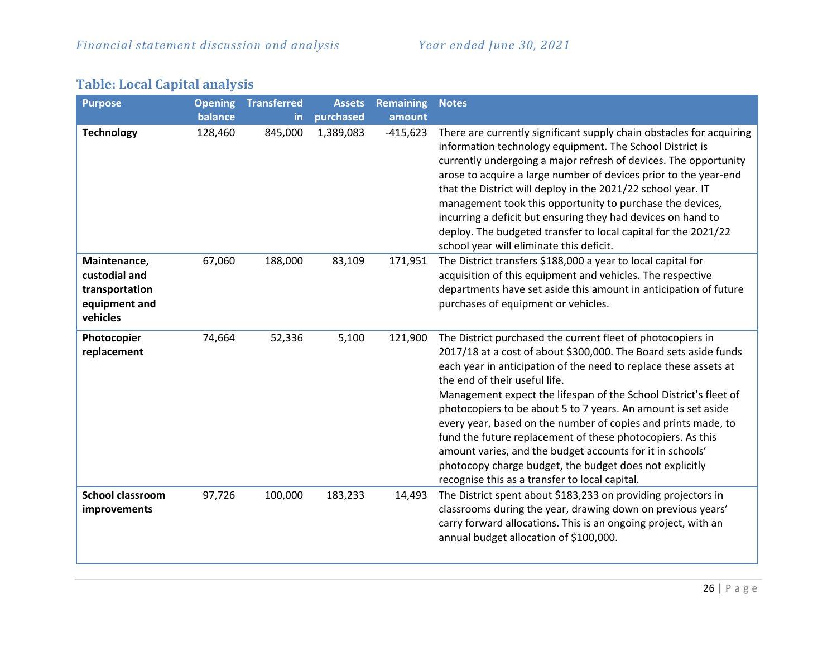| <b>Purpose</b>                                                               | <b>Opening</b> | <b>Transferred</b> | <b>Assets</b> | <b>Remaining</b> | <b>Notes</b>                                                                                                                                                                                                                                                                                                                                                                                                                                                                                                                                                                                                                                                                       |
|------------------------------------------------------------------------------|----------------|--------------------|---------------|------------------|------------------------------------------------------------------------------------------------------------------------------------------------------------------------------------------------------------------------------------------------------------------------------------------------------------------------------------------------------------------------------------------------------------------------------------------------------------------------------------------------------------------------------------------------------------------------------------------------------------------------------------------------------------------------------------|
|                                                                              | balance        | in.                | purchased     | amount           |                                                                                                                                                                                                                                                                                                                                                                                                                                                                                                                                                                                                                                                                                    |
| <b>Technology</b>                                                            | 128,460        | 845,000            | 1,389,083     | $-415,623$       | There are currently significant supply chain obstacles for acquiring<br>information technology equipment. The School District is<br>currently undergoing a major refresh of devices. The opportunity<br>arose to acquire a large number of devices prior to the year-end<br>that the District will deploy in the 2021/22 school year. IT<br>management took this opportunity to purchase the devices,<br>incurring a deficit but ensuring they had devices on hand to<br>deploy. The budgeted transfer to local capital for the 2021/22<br>school year will eliminate this deficit.                                                                                                |
| Maintenance,<br>custodial and<br>transportation<br>equipment and<br>vehicles | 67,060         | 188,000            | 83,109        | 171,951          | The District transfers \$188,000 a year to local capital for<br>acquisition of this equipment and vehicles. The respective<br>departments have set aside this amount in anticipation of future<br>purchases of equipment or vehicles.                                                                                                                                                                                                                                                                                                                                                                                                                                              |
| Photocopier<br>replacement                                                   | 74,664         | 52,336             | 5,100         | 121,900          | The District purchased the current fleet of photocopiers in<br>2017/18 at a cost of about \$300,000. The Board sets aside funds<br>each year in anticipation of the need to replace these assets at<br>the end of their useful life.<br>Management expect the lifespan of the School District's fleet of<br>photocopiers to be about 5 to 7 years. An amount is set aside<br>every year, based on the number of copies and prints made, to<br>fund the future replacement of these photocopiers. As this<br>amount varies, and the budget accounts for it in schools'<br>photocopy charge budget, the budget does not explicitly<br>recognise this as a transfer to local capital. |
| <b>School classroom</b><br>improvements                                      | 97,726         | 100,000            | 183,233       | 14,493           | The District spent about \$183,233 on providing projectors in<br>classrooms during the year, drawing down on previous years'<br>carry forward allocations. This is an ongoing project, with an<br>annual budget allocation of \$100,000.                                                                                                                                                                                                                                                                                                                                                                                                                                           |

# **Table: Local Capital analysis**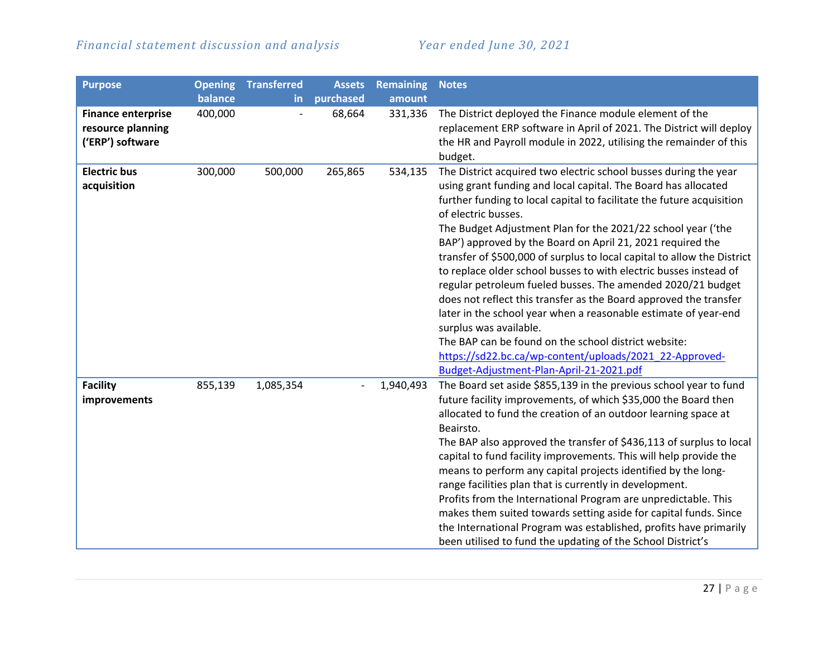| <b>Purpose</b>                                                     | <b>Opening</b> | <b>Transferred</b> | <b>Assets</b> | <b>Remaining</b> | <b>Notes</b>                                                                                                                                                                                                                                                                                                                                                                                                                                                                                                                                                                                                                                                                                                                                                                                                                                                                                                     |
|--------------------------------------------------------------------|----------------|--------------------|---------------|------------------|------------------------------------------------------------------------------------------------------------------------------------------------------------------------------------------------------------------------------------------------------------------------------------------------------------------------------------------------------------------------------------------------------------------------------------------------------------------------------------------------------------------------------------------------------------------------------------------------------------------------------------------------------------------------------------------------------------------------------------------------------------------------------------------------------------------------------------------------------------------------------------------------------------------|
|                                                                    | balance        | in.                | purchased     | amount           |                                                                                                                                                                                                                                                                                                                                                                                                                                                                                                                                                                                                                                                                                                                                                                                                                                                                                                                  |
| <b>Finance enterprise</b><br>resource planning<br>('ERP') software | 400,000        |                    | 68,664        | 331,336          | The District deployed the Finance module element of the<br>replacement ERP software in April of 2021. The District will deploy<br>the HR and Payroll module in 2022, utilising the remainder of this<br>budget.                                                                                                                                                                                                                                                                                                                                                                                                                                                                                                                                                                                                                                                                                                  |
| <b>Electric bus</b><br>acquisition                                 | 300,000        | 500,000            | 265,865       | 534,135          | The District acquired two electric school busses during the year<br>using grant funding and local capital. The Board has allocated<br>further funding to local capital to facilitate the future acquisition<br>of electric busses.<br>The Budget Adjustment Plan for the 2021/22 school year ('the<br>BAP') approved by the Board on April 21, 2021 required the<br>transfer of \$500,000 of surplus to local capital to allow the District<br>to replace older school busses to with electric busses instead of<br>regular petroleum fueled busses. The amended 2020/21 budget<br>does not reflect this transfer as the Board approved the transfer<br>later in the school year when a reasonable estimate of year-end<br>surplus was available.<br>The BAP can be found on the school district website:<br>https://sd22.bc.ca/wp-content/uploads/2021_22-Approved-<br>Budget-Adjustment-Plan-April-21-2021.pdf |
| <b>Facility</b><br>improvements                                    | 855,139        | 1,085,354          |               | 1,940,493        | The Board set aside \$855,139 in the previous school year to fund<br>future facility improvements, of which \$35,000 the Board then<br>allocated to fund the creation of an outdoor learning space at<br>Beairsto.<br>The BAP also approved the transfer of \$436,113 of surplus to local<br>capital to fund facility improvements. This will help provide the<br>means to perform any capital projects identified by the long-<br>range facilities plan that is currently in development.<br>Profits from the International Program are unpredictable. This<br>makes them suited towards setting aside for capital funds. Since<br>the International Program was established, profits have primarily<br>been utilised to fund the updating of the School District's                                                                                                                                             |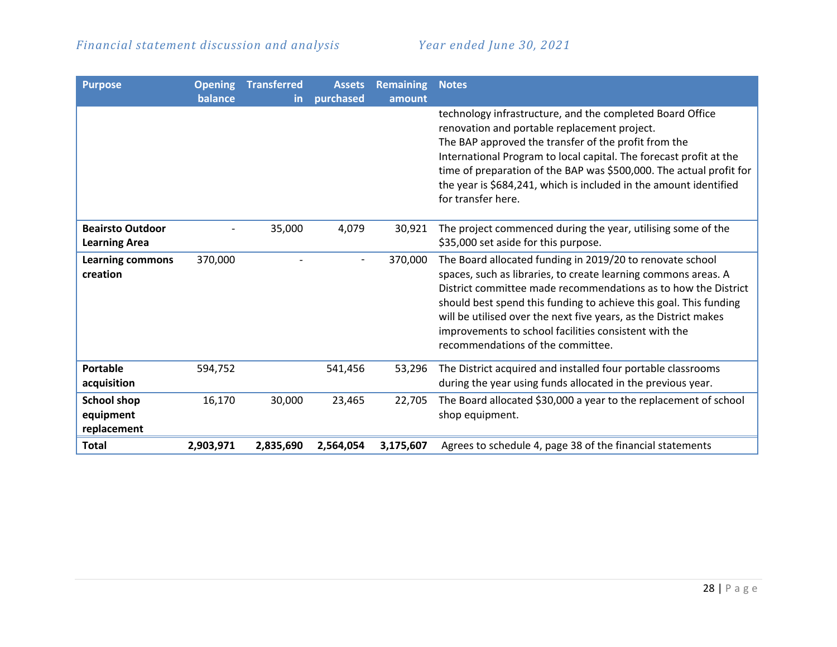| <b>Purpose</b>                                  | <b>Opening</b><br>balance | <b>Transferred</b><br>in. | <b>Assets</b><br>purchased | <b>Remaining</b><br>amount | <b>Notes</b>                                                                                                                                                                                                                                                                                                                                                                                                                         |
|-------------------------------------------------|---------------------------|---------------------------|----------------------------|----------------------------|--------------------------------------------------------------------------------------------------------------------------------------------------------------------------------------------------------------------------------------------------------------------------------------------------------------------------------------------------------------------------------------------------------------------------------------|
|                                                 |                           |                           |                            |                            | technology infrastructure, and the completed Board Office<br>renovation and portable replacement project.<br>The BAP approved the transfer of the profit from the<br>International Program to local capital. The forecast profit at the<br>time of preparation of the BAP was \$500,000. The actual profit for<br>the year is \$684,241, which is included in the amount identified<br>for transfer here.                            |
| <b>Beairsto Outdoor</b><br><b>Learning Area</b> |                           | 35,000                    | 4,079                      | 30,921                     | The project commenced during the year, utilising some of the<br>\$35,000 set aside for this purpose.                                                                                                                                                                                                                                                                                                                                 |
| <b>Learning commons</b><br>creation             | 370,000                   |                           |                            | 370,000                    | The Board allocated funding in 2019/20 to renovate school<br>spaces, such as libraries, to create learning commons areas. A<br>District committee made recommendations as to how the District<br>should best spend this funding to achieve this goal. This funding<br>will be utilised over the next five years, as the District makes<br>improvements to school facilities consistent with the<br>recommendations of the committee. |
| <b>Portable</b><br>acquisition                  | 594,752                   |                           | 541,456                    | 53,296                     | The District acquired and installed four portable classrooms<br>during the year using funds allocated in the previous year.                                                                                                                                                                                                                                                                                                          |
| <b>School shop</b><br>equipment<br>replacement  | 16,170                    | 30,000                    | 23,465                     | 22,705                     | The Board allocated \$30,000 a year to the replacement of school<br>shop equipment.                                                                                                                                                                                                                                                                                                                                                  |
| <b>Total</b>                                    | 2,903,971                 | 2,835,690                 | 2,564,054                  | 3,175,607                  | Agrees to schedule 4, page 38 of the financial statements                                                                                                                                                                                                                                                                                                                                                                            |